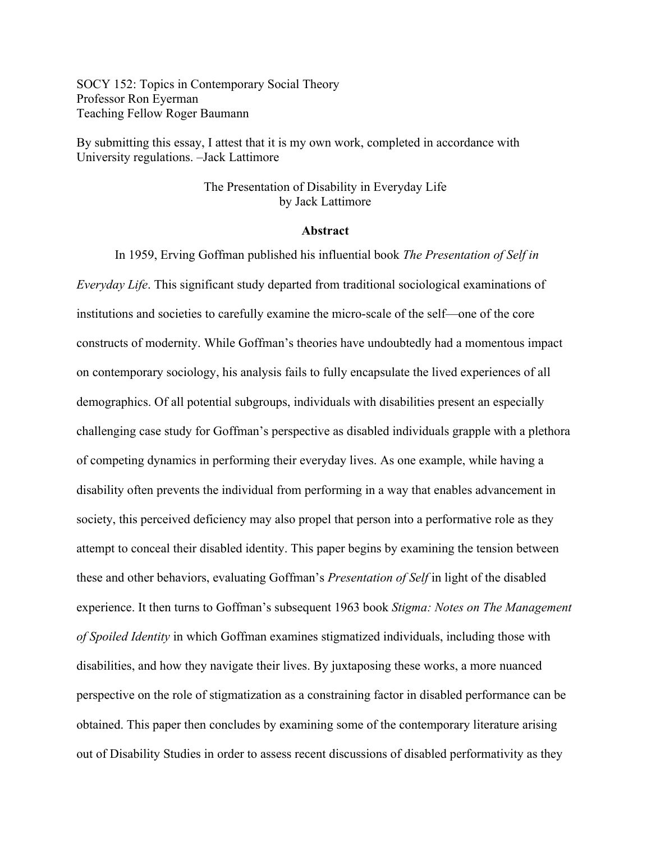SOCY 152: Topics in Contemporary Social Theory Professor Ron Eyerman Teaching Fellow Roger Baumann

By submitting this essay, I attest that it is my own work, completed in accordance with University regulations. –Jack Lattimore

# The Presentation of Disability in Everyday Life by Jack Lattimore

#### **Abstract**

In 1959, Erving Goffman published his influential book *The Presentation of Self in Everyday Life*. This significant study departed from traditional sociological examinations of institutions and societies to carefully examine the micro-scale of the self—one of the core constructs of modernity. While Goffman's theories have undoubtedly had a momentous impact on contemporary sociology, his analysis fails to fully encapsulate the lived experiences of all demographics. Of all potential subgroups, individuals with disabilities present an especially challenging case study for Goffman's perspective as disabled individuals grapple with a plethora of competing dynamics in performing their everyday lives. As one example, while having a disability often prevents the individual from performing in a way that enables advancement in society, this perceived deficiency may also propel that person into a performative role as they attempt to conceal their disabled identity. This paper begins by examining the tension between these and other behaviors, evaluating Goffman's *Presentation of Self* in light of the disabled experience. It then turns to Goffman's subsequent 1963 book *Stigma: Notes on The Management of Spoiled Identity* in which Goffman examines stigmatized individuals, including those with disabilities, and how they navigate their lives. By juxtaposing these works, a more nuanced perspective on the role of stigmatization as a constraining factor in disabled performance can be obtained. This paper then concludes by examining some of the contemporary literature arising out of Disability Studies in order to assess recent discussions of disabled performativity as they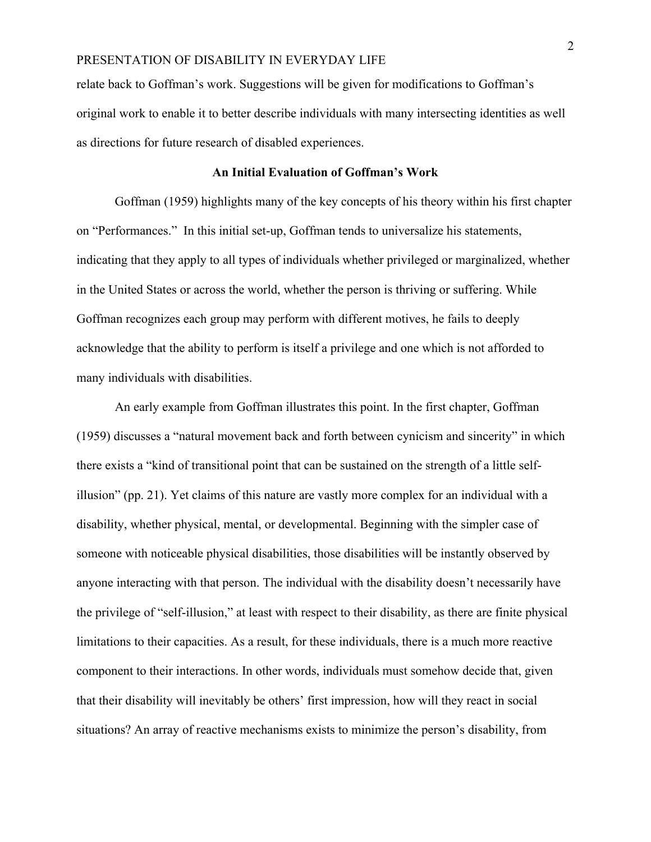relate back to Goffman's work. Suggestions will be given for modifications to Goffman's original work to enable it to better describe individuals with many intersecting identities as well as directions for future research of disabled experiences.

#### **An Initial Evaluation of Goffman's Work**

Goffman (1959) highlights many of the key concepts of his theory within his first chapter on "Performances." In this initial set-up, Goffman tends to universalize his statements, indicating that they apply to all types of individuals whether privileged or marginalized, whether in the United States or across the world, whether the person is thriving or suffering. While Goffman recognizes each group may perform with different motives, he fails to deeply acknowledge that the ability to perform is itself a privilege and one which is not afforded to many individuals with disabilities.

An early example from Goffman illustrates this point. In the first chapter, Goffman (1959) discusses a "natural movement back and forth between cynicism and sincerity" in which there exists a "kind of transitional point that can be sustained on the strength of a little selfillusion" (pp. 21). Yet claims of this nature are vastly more complex for an individual with a disability, whether physical, mental, or developmental. Beginning with the simpler case of someone with noticeable physical disabilities, those disabilities will be instantly observed by anyone interacting with that person. The individual with the disability doesn't necessarily have the privilege of "self-illusion," at least with respect to their disability, as there are finite physical limitations to their capacities. As a result, for these individuals, there is a much more reactive component to their interactions. In other words, individuals must somehow decide that, given that their disability will inevitably be others' first impression, how will they react in social situations? An array of reactive mechanisms exists to minimize the person's disability, from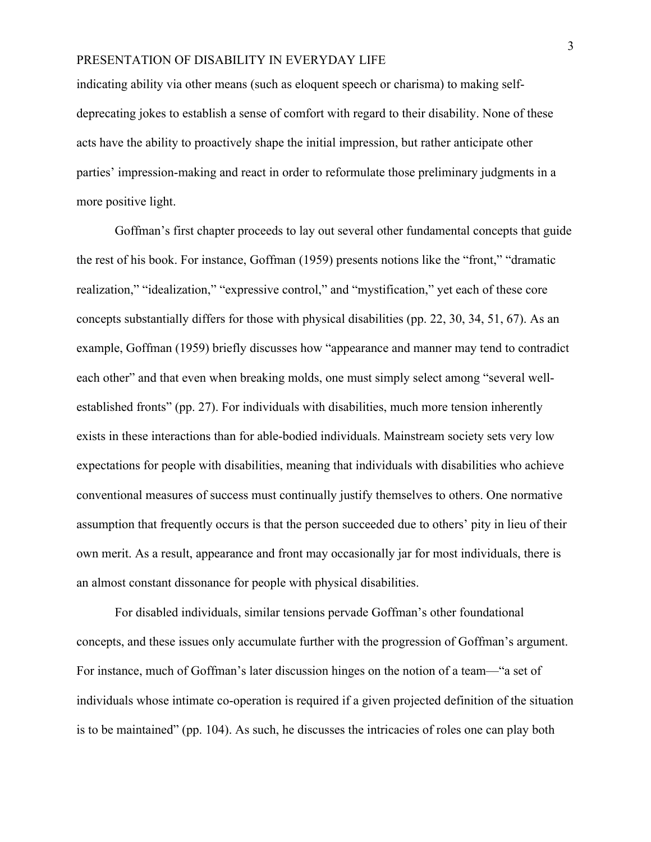indicating ability via other means (such as eloquent speech or charisma) to making selfdeprecating jokes to establish a sense of comfort with regard to their disability. None of these acts have the ability to proactively shape the initial impression, but rather anticipate other parties' impression-making and react in order to reformulate those preliminary judgments in a more positive light.

Goffman's first chapter proceeds to lay out several other fundamental concepts that guide the rest of his book. For instance, Goffman (1959) presents notions like the "front," "dramatic realization," "idealization," "expressive control," and "mystification," yet each of these core concepts substantially differs for those with physical disabilities (pp. 22, 30, 34, 51, 67). As an example, Goffman (1959) briefly discusses how "appearance and manner may tend to contradict each other" and that even when breaking molds, one must simply select among "several wellestablished fronts" (pp. 27). For individuals with disabilities, much more tension inherently exists in these interactions than for able-bodied individuals. Mainstream society sets very low expectations for people with disabilities, meaning that individuals with disabilities who achieve conventional measures of success must continually justify themselves to others. One normative assumption that frequently occurs is that the person succeeded due to others' pity in lieu of their own merit. As a result, appearance and front may occasionally jar for most individuals, there is an almost constant dissonance for people with physical disabilities.

For disabled individuals, similar tensions pervade Goffman's other foundational concepts, and these issues only accumulate further with the progression of Goffman's argument. For instance, much of Goffman's later discussion hinges on the notion of a team—"a set of individuals whose intimate co-operation is required if a given projected definition of the situation is to be maintained" (pp. 104). As such, he discusses the intricacies of roles one can play both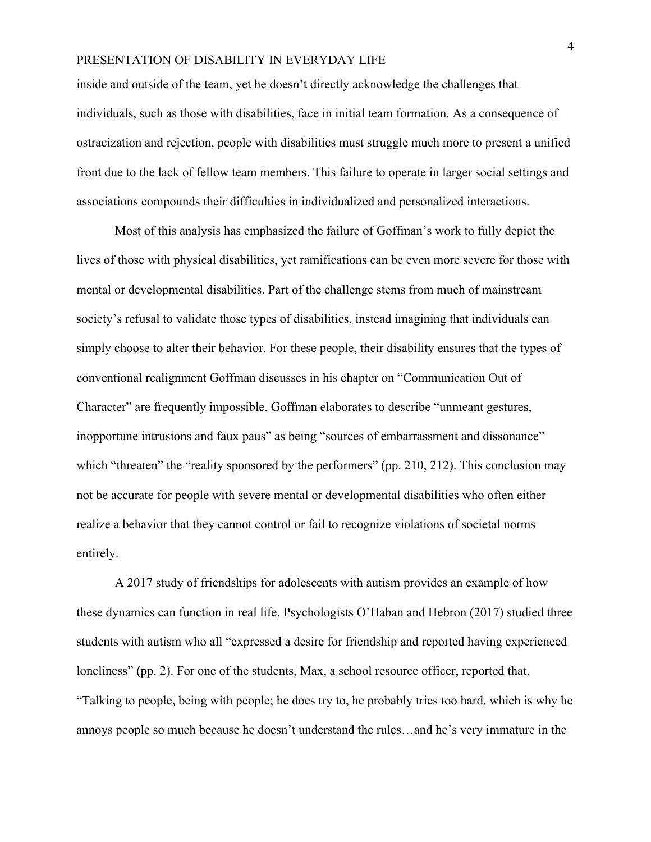inside and outside of the team, yet he doesn't directly acknowledge the challenges that individuals, such as those with disabilities, face in initial team formation. As a consequence of ostracization and rejection, people with disabilities must struggle much more to present a unified front due to the lack of fellow team members. This failure to operate in larger social settings and associations compounds their difficulties in individualized and personalized interactions.

Most of this analysis has emphasized the failure of Goffman's work to fully depict the lives of those with physical disabilities, yet ramifications can be even more severe for those with mental or developmental disabilities. Part of the challenge stems from much of mainstream society's refusal to validate those types of disabilities, instead imagining that individuals can simply choose to alter their behavior. For these people, their disability ensures that the types of conventional realignment Goffman discusses in his chapter on "Communication Out of Character" are frequently impossible. Goffman elaborates to describe "unmeant gestures, inopportune intrusions and faux paus" as being "sources of embarrassment and dissonance" which "threaten" the "reality sponsored by the performers" (pp. 210, 212). This conclusion may not be accurate for people with severe mental or developmental disabilities who often either realize a behavior that they cannot control or fail to recognize violations of societal norms entirely.

A 2017 study of friendships for adolescents with autism provides an example of how these dynamics can function in real life. Psychologists O'Haban and Hebron (2017) studied three students with autism who all "expressed a desire for friendship and reported having experienced loneliness" (pp. 2). For one of the students, Max, a school resource officer, reported that, "Talking to people, being with people; he does try to, he probably tries too hard, which is why he annoys people so much because he doesn't understand the rules…and he's very immature in the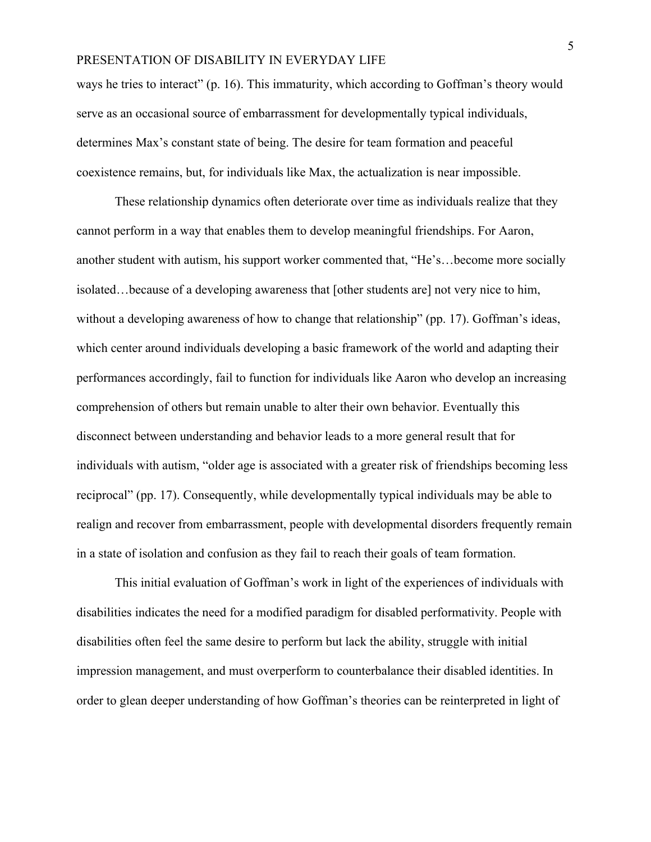ways he tries to interact" (p. 16). This immaturity, which according to Goffman's theory would serve as an occasional source of embarrassment for developmentally typical individuals, determines Max's constant state of being. The desire for team formation and peaceful coexistence remains, but, for individuals like Max, the actualization is near impossible.

These relationship dynamics often deteriorate over time as individuals realize that they cannot perform in a way that enables them to develop meaningful friendships. For Aaron, another student with autism, his support worker commented that, "He's…become more socially isolated…because of a developing awareness that [other students are] not very nice to him, without a developing awareness of how to change that relationship" (pp. 17). Goffman's ideas, which center around individuals developing a basic framework of the world and adapting their performances accordingly, fail to function for individuals like Aaron who develop an increasing comprehension of others but remain unable to alter their own behavior. Eventually this disconnect between understanding and behavior leads to a more general result that for individuals with autism, "older age is associated with a greater risk of friendships becoming less reciprocal" (pp. 17). Consequently, while developmentally typical individuals may be able to realign and recover from embarrassment, people with developmental disorders frequently remain in a state of isolation and confusion as they fail to reach their goals of team formation.

This initial evaluation of Goffman's work in light of the experiences of individuals with disabilities indicates the need for a modified paradigm for disabled performativity. People with disabilities often feel the same desire to perform but lack the ability, struggle with initial impression management, and must overperform to counterbalance their disabled identities. In order to glean deeper understanding of how Goffman's theories can be reinterpreted in light of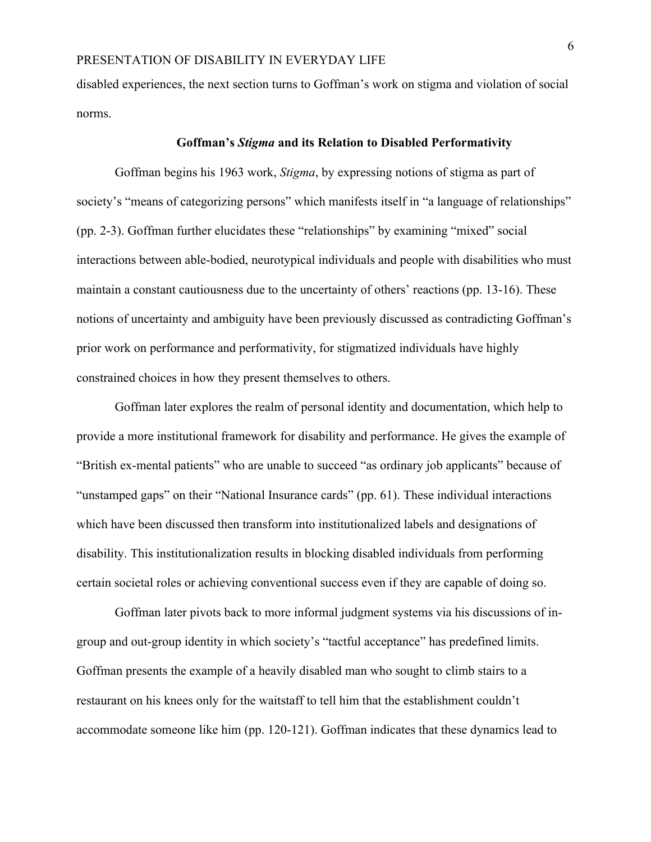disabled experiences, the next section turns to Goffman's work on stigma and violation of social norms.

#### **Goffman's** *Stigma* **and its Relation to Disabled Performativity**

Goffman begins his 1963 work, *Stigma*, by expressing notions of stigma as part of society's "means of categorizing persons" which manifests itself in "a language of relationships" (pp. 2-3). Goffman further elucidates these "relationships" by examining "mixed" social interactions between able-bodied, neurotypical individuals and people with disabilities who must maintain a constant cautiousness due to the uncertainty of others' reactions (pp. 13-16). These notions of uncertainty and ambiguity have been previously discussed as contradicting Goffman's prior work on performance and performativity, for stigmatized individuals have highly constrained choices in how they present themselves to others.

Goffman later explores the realm of personal identity and documentation, which help to provide a more institutional framework for disability and performance. He gives the example of "British ex-mental patients" who are unable to succeed "as ordinary job applicants" because of "unstamped gaps" on their "National Insurance cards" (pp. 61). These individual interactions which have been discussed then transform into institutionalized labels and designations of disability. This institutionalization results in blocking disabled individuals from performing certain societal roles or achieving conventional success even if they are capable of doing so.

Goffman later pivots back to more informal judgment systems via his discussions of ingroup and out-group identity in which society's "tactful acceptance" has predefined limits. Goffman presents the example of a heavily disabled man who sought to climb stairs to a restaurant on his knees only for the waitstaff to tell him that the establishment couldn't accommodate someone like him (pp. 120-121). Goffman indicates that these dynamics lead to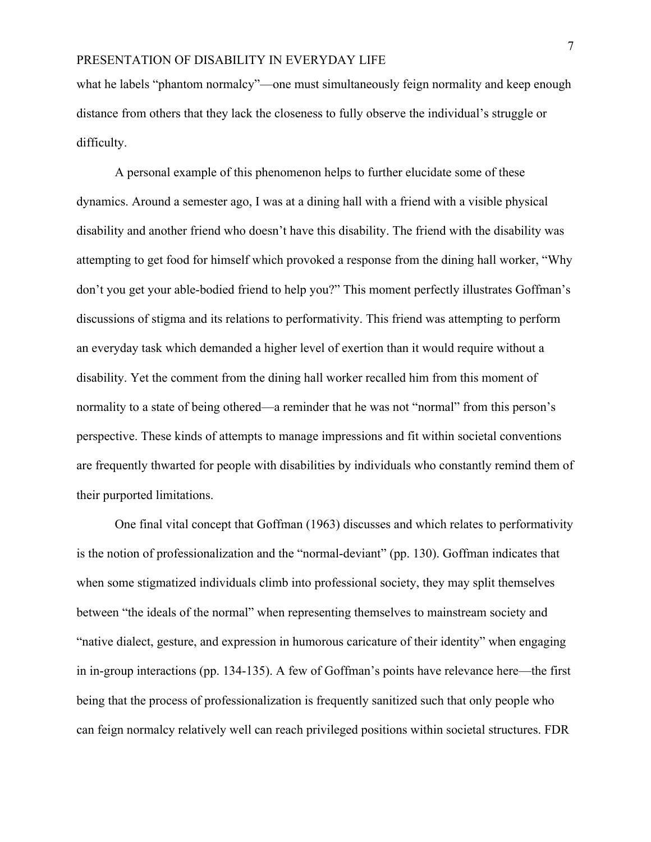what he labels "phantom normalcy"—one must simultaneously feign normality and keep enough distance from others that they lack the closeness to fully observe the individual's struggle or difficulty.

A personal example of this phenomenon helps to further elucidate some of these dynamics. Around a semester ago, I was at a dining hall with a friend with a visible physical disability and another friend who doesn't have this disability. The friend with the disability was attempting to get food for himself which provoked a response from the dining hall worker, "Why don't you get your able-bodied friend to help you?" This moment perfectly illustrates Goffman's discussions of stigma and its relations to performativity. This friend was attempting to perform an everyday task which demanded a higher level of exertion than it would require without a disability. Yet the comment from the dining hall worker recalled him from this moment of normality to a state of being othered—a reminder that he was not "normal" from this person's perspective. These kinds of attempts to manage impressions and fit within societal conventions are frequently thwarted for people with disabilities by individuals who constantly remind them of their purported limitations.

One final vital concept that Goffman (1963) discusses and which relates to performativity is the notion of professionalization and the "normal-deviant" (pp. 130). Goffman indicates that when some stigmatized individuals climb into professional society, they may split themselves between "the ideals of the normal" when representing themselves to mainstream society and "native dialect, gesture, and expression in humorous caricature of their identity" when engaging in in-group interactions (pp. 134-135). A few of Goffman's points have relevance here—the first being that the process of professionalization is frequently sanitized such that only people who can feign normalcy relatively well can reach privileged positions within societal structures. FDR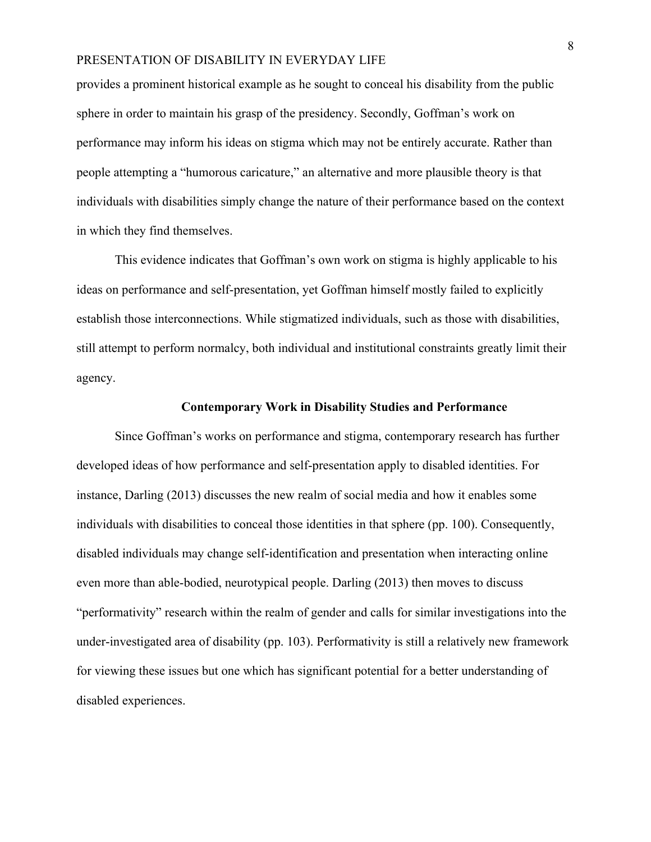provides a prominent historical example as he sought to conceal his disability from the public sphere in order to maintain his grasp of the presidency. Secondly, Goffman's work on performance may inform his ideas on stigma which may not be entirely accurate. Rather than people attempting a "humorous caricature," an alternative and more plausible theory is that individuals with disabilities simply change the nature of their performance based on the context in which they find themselves.

This evidence indicates that Goffman's own work on stigma is highly applicable to his ideas on performance and self-presentation, yet Goffman himself mostly failed to explicitly establish those interconnections. While stigmatized individuals, such as those with disabilities, still attempt to perform normalcy, both individual and institutional constraints greatly limit their agency.

#### **Contemporary Work in Disability Studies and Performance**

Since Goffman's works on performance and stigma, contemporary research has further developed ideas of how performance and self-presentation apply to disabled identities. For instance, Darling (2013) discusses the new realm of social media and how it enables some individuals with disabilities to conceal those identities in that sphere (pp. 100). Consequently, disabled individuals may change self-identification and presentation when interacting online even more than able-bodied, neurotypical people. Darling (2013) then moves to discuss "performativity" research within the realm of gender and calls for similar investigations into the under-investigated area of disability (pp. 103). Performativity is still a relatively new framework for viewing these issues but one which has significant potential for a better understanding of disabled experiences.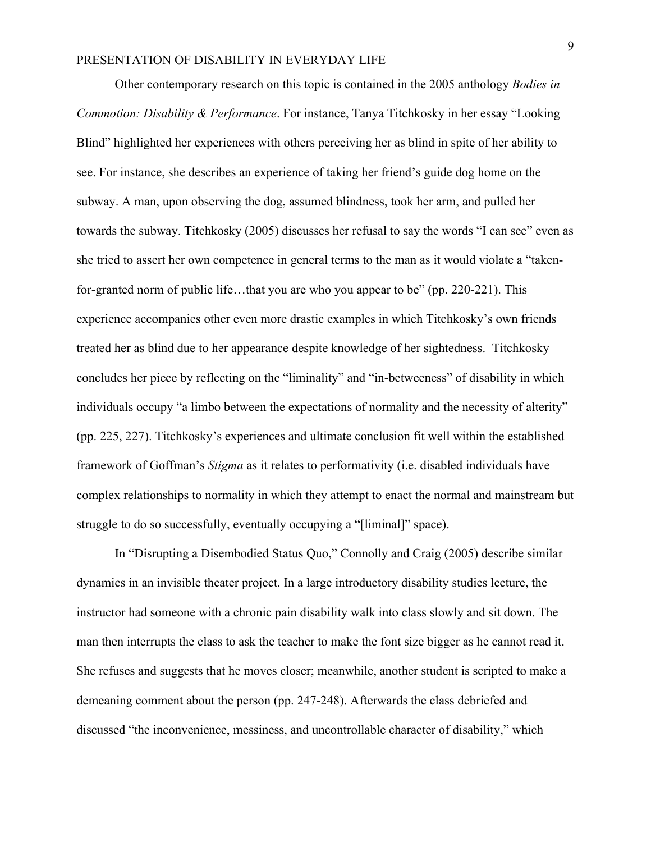Other contemporary research on this topic is contained in the 2005 anthology *Bodies in Commotion: Disability & Performance*. For instance, Tanya Titchkosky in her essay "Looking Blind" highlighted her experiences with others perceiving her as blind in spite of her ability to see. For instance, she describes an experience of taking her friend's guide dog home on the subway. A man, upon observing the dog, assumed blindness, took her arm, and pulled her towards the subway. Titchkosky (2005) discusses her refusal to say the words "I can see" even as she tried to assert her own competence in general terms to the man as it would violate a "takenfor-granted norm of public life…that you are who you appear to be" (pp. 220-221). This experience accompanies other even more drastic examples in which Titchkosky's own friends treated her as blind due to her appearance despite knowledge of her sightedness. Titchkosky concludes her piece by reflecting on the "liminality" and "in-betweeness" of disability in which individuals occupy "a limbo between the expectations of normality and the necessity of alterity" (pp. 225, 227). Titchkosky's experiences and ultimate conclusion fit well within the established framework of Goffman's *Stigma* as it relates to performativity (i.e. disabled individuals have complex relationships to normality in which they attempt to enact the normal and mainstream but struggle to do so successfully, eventually occupying a "[liminal]" space).

In "Disrupting a Disembodied Status Quo," Connolly and Craig (2005) describe similar dynamics in an invisible theater project. In a large introductory disability studies lecture, the instructor had someone with a chronic pain disability walk into class slowly and sit down. The man then interrupts the class to ask the teacher to make the font size bigger as he cannot read it. She refuses and suggests that he moves closer; meanwhile, another student is scripted to make a demeaning comment about the person (pp. 247-248). Afterwards the class debriefed and discussed "the inconvenience, messiness, and uncontrollable character of disability," which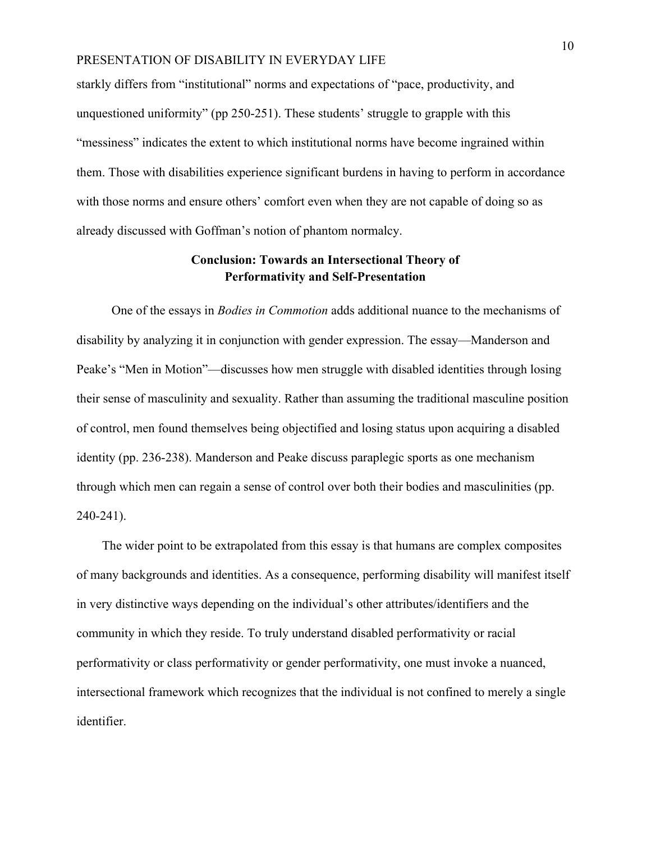starkly differs from "institutional" norms and expectations of "pace, productivity, and unquestioned uniformity" (pp 250-251). These students' struggle to grapple with this "messiness" indicates the extent to which institutional norms have become ingrained within them. Those with disabilities experience significant burdens in having to perform in accordance with those norms and ensure others' comfort even when they are not capable of doing so as already discussed with Goffman's notion of phantom normalcy.

# **Conclusion: Towards an Intersectional Theory of Performativity and Self-Presentation**

One of the essays in *Bodies in Commotion* adds additional nuance to the mechanisms of disability by analyzing it in conjunction with gender expression. The essay—Manderson and Peake's "Men in Motion"—discusses how men struggle with disabled identities through losing their sense of masculinity and sexuality. Rather than assuming the traditional masculine position of control, men found themselves being objectified and losing status upon acquiring a disabled identity (pp. 236-238). Manderson and Peake discuss paraplegic sports as one mechanism through which men can regain a sense of control over both their bodies and masculinities (pp. 240-241).

 The wider point to be extrapolated from this essay is that humans are complex composites of many backgrounds and identities. As a consequence, performing disability will manifest itself in very distinctive ways depending on the individual's other attributes/identifiers and the community in which they reside. To truly understand disabled performativity or racial performativity or class performativity or gender performativity, one must invoke a nuanced, intersectional framework which recognizes that the individual is not confined to merely a single identifier.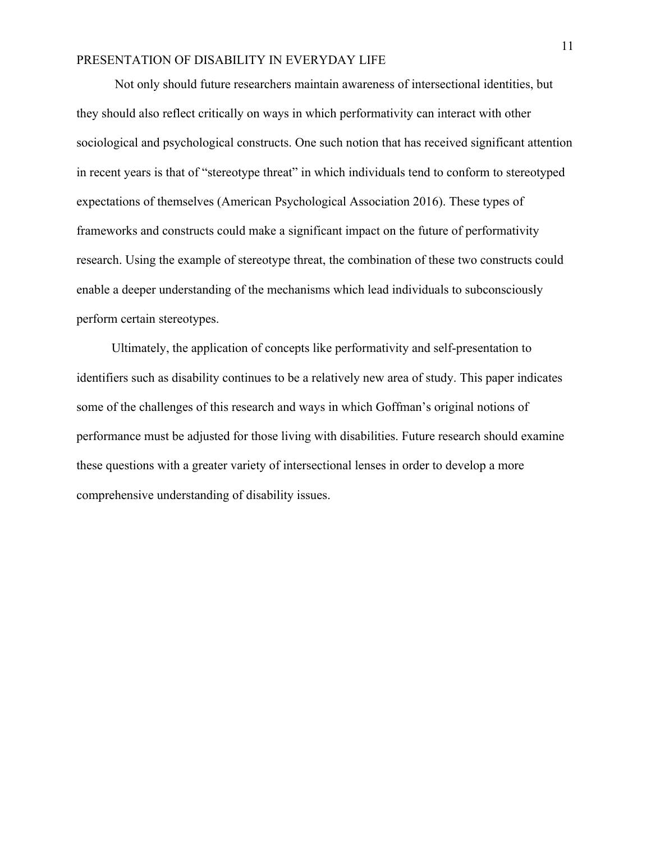Not only should future researchers maintain awareness of intersectional identities, but they should also reflect critically on ways in which performativity can interact with other sociological and psychological constructs. One such notion that has received significant attention in recent years is that of "stereotype threat" in which individuals tend to conform to stereotyped expectations of themselves (American Psychological Association 2016). These types of frameworks and constructs could make a significant impact on the future of performativity research. Using the example of stereotype threat, the combination of these two constructs could enable a deeper understanding of the mechanisms which lead individuals to subconsciously perform certain stereotypes.

 Ultimately, the application of concepts like performativity and self-presentation to identifiers such as disability continues to be a relatively new area of study. This paper indicates some of the challenges of this research and ways in which Goffman's original notions of performance must be adjusted for those living with disabilities. Future research should examine these questions with a greater variety of intersectional lenses in order to develop a more comprehensive understanding of disability issues.